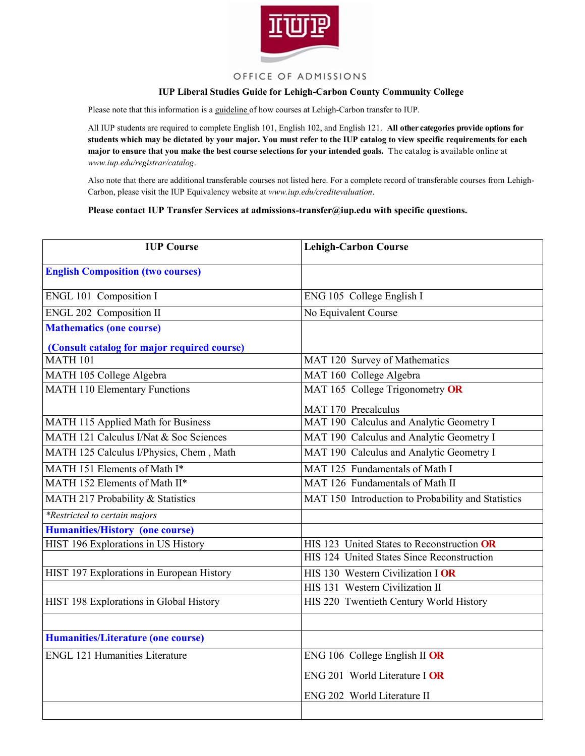

## OFFICE OF ADMISSIONS

## **IUP Liberal Studies Guide for Lehigh-Carbon County Community College**

Please note that this information is a guideline of how courses at Lehigh-Carbon transfer to IUP.

All IUP students are required to complete English 101, English 102, and English 121. **All other categories provide options for students which may be dictated by your major. You must refer to the IUP catalog to view specific requirements for each major to ensure that you make the best course selections for your intended goals.** The catalog is available online at *www.iup.edu/registrar/catalog*.

Also note that there are additional transferable courses not listed here. For a complete record of transferable courses from Lehigh-Carbon, please visit the IUP Equivalency website at *www.iup.edu/creditevaluation*.

### **Please contact IUP Transfer Services at admissions-transfer@iup.edu with specific questions.**

| <b>IUP Course</b>                           | <b>Lehigh-Carbon Course</b>                        |
|---------------------------------------------|----------------------------------------------------|
| <b>English Composition (two courses)</b>    |                                                    |
| ENGL 101 Composition I                      | ENG 105 College English I                          |
| <b>ENGL 202 Composition II</b>              | No Equivalent Course                               |
| <b>Mathematics (one course)</b>             |                                                    |
| (Consult catalog for major required course) |                                                    |
| <b>MATH 101</b>                             | MAT 120 Survey of Mathematics                      |
| MATH 105 College Algebra                    | MAT 160 College Algebra                            |
| <b>MATH 110 Elementary Functions</b>        | MAT 165 College Trigonometry OR                    |
|                                             | MAT 170 Precalculus                                |
| MATH 115 Applied Math for Business          | MAT 190 Calculus and Analytic Geometry I           |
| MATH 121 Calculus I/Nat & Soc Sciences      | MAT 190 Calculus and Analytic Geometry I           |
| MATH 125 Calculus I/Physics, Chem, Math     | MAT 190 Calculus and Analytic Geometry I           |
| MATH 151 Elements of Math I*                | MAT 125 Fundamentals of Math I                     |
| MATH 152 Elements of Math II*               | MAT 126 Fundamentals of Math II                    |
| MATH 217 Probability & Statistics           | MAT 150 Introduction to Probability and Statistics |
| *Restricted to certain majors               |                                                    |
| <b>Humanities/History (one course)</b>      |                                                    |
| HIST 196 Explorations in US History         | HIS 123 United States to Reconstruction OR         |
|                                             | HIS 124 United States Since Reconstruction         |
| HIST 197 Explorations in European History   | HIS 130 Western Civilization I OR                  |
|                                             | HIS 131 Western Civilization II                    |
| HIST 198 Explorations in Global History     | HIS 220 Twentieth Century World History            |
|                                             |                                                    |
| <b>Humanities/Literature (one course)</b>   |                                                    |
| <b>ENGL 121 Humanities Literature</b>       | ENG 106 College English II OR                      |
|                                             | ENG 201 World Literature I OR                      |
|                                             | ENG 202 World Literature II                        |
|                                             |                                                    |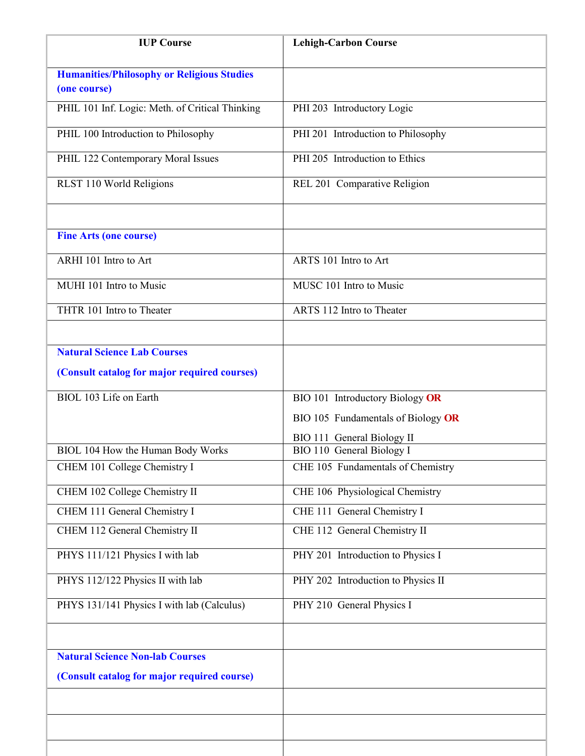| <b>IUP Course</b>                                                                  | <b>Lehigh-Carbon Course</b>                             |
|------------------------------------------------------------------------------------|---------------------------------------------------------|
| <b>Humanities/Philosophy or Religious Studies</b><br>(one course)                  |                                                         |
| PHIL 101 Inf. Logic: Meth. of Critical Thinking                                    | PHI 203 Introductory Logic                              |
| PHIL 100 Introduction to Philosophy                                                | PHI 201 Introduction to Philosophy                      |
| PHIL 122 Contemporary Moral Issues                                                 | PHI 205 Introduction to Ethics                          |
| RLST 110 World Religions                                                           | REL 201 Comparative Religion                            |
| <b>Fine Arts (one course)</b>                                                      |                                                         |
| ARHI 101 Intro to Art                                                              | ARTS 101 Intro to Art                                   |
| MUHI 101 Intro to Music                                                            | MUSC 101 Intro to Music                                 |
| THTR 101 Intro to Theater                                                          | ARTS 112 Intro to Theater                               |
| <b>Natural Science Lab Courses</b><br>(Consult catalog for major required courses) |                                                         |
| BIOL 103 Life on Earth                                                             | BIO 101 Introductory Biology OR                         |
|                                                                                    | BIO 105 Fundamentals of Biology OR                      |
| BIOL 104 How the Human Body Works                                                  | BIO 111 General Biology II<br>BIO 110 General Biology I |
| CHEM 101 College Chemistry I                                                       | CHE 105 Fundamentals of Chemistry                       |
| CHEM 102 College Chemistry II                                                      | CHE 106 Physiological Chemistry                         |
| CHEM 111 General Chemistry I                                                       | CHE 111 General Chemistry I                             |
| CHEM 112 General Chemistry II                                                      | CHE 112 General Chemistry II                            |
| PHYS 111/121 Physics I with lab                                                    | PHY 201 Introduction to Physics I                       |
| PHYS 112/122 Physics II with lab                                                   | PHY 202 Introduction to Physics II                      |
| PHYS 131/141 Physics I with lab (Calculus)                                         | PHY 210 General Physics I                               |
|                                                                                    |                                                         |
| <b>Natural Science Non-lab Courses</b>                                             |                                                         |
| (Consult catalog for major required course)                                        |                                                         |
|                                                                                    |                                                         |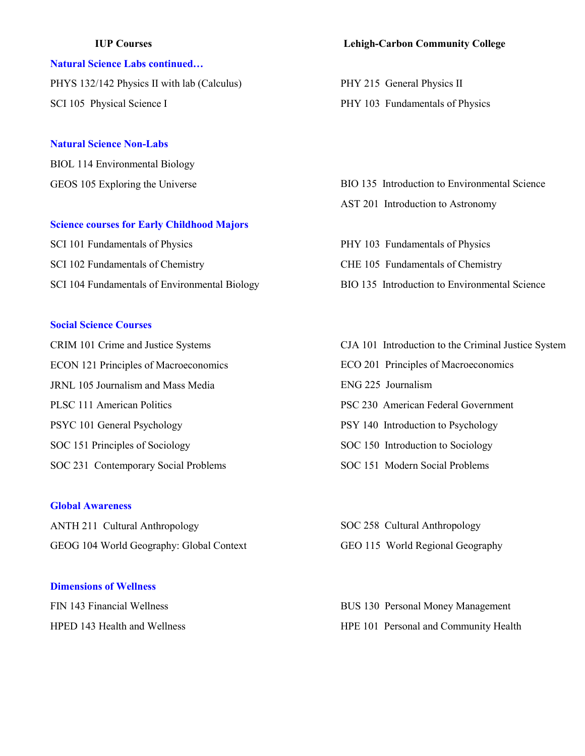## **Natural Science Labs continued…**

PHYS 132/142 Physics II with lab (Calculus) SCI 105 Physical Science I

## **Natural Science Non-Labs**

BIOL 114 Environmental Biology GEOS 105 Exploring the Universe

### **Science courses for Early Childhood Majors**

SCI 101 Fundamentals of Physics SCI 102 Fundamentals of Chemistry SCI 104 Fundamentals of Environmental Biology

## **Social Science Courses**

CRIM 101 Crime and Justice Systems ECON 121 Principles of Macroeconomics JRNL 105 Journalism and Mass Media PLSC 111 American Politics PSYC 101 General Psychology SOC 151 Principles of Sociology SOC 231 Contemporary Social Problems

#### **Global Awareness**

ANTH 211 Cultural Anthropology GEOG 104 World Geography: Global Context

## **Dimensions of Wellness**

FIN 143 Financial Wellness HPED 143 Health and Wellness

## **IUP Courses Lehigh-Carbon Community College**

PHY 215 General Physics II PHY 103 Fundamentals of Physics

BIO 135 Introduction to Environmental Science AST 201 Introduction to Astronomy

PHY 103 Fundamentals of Physics CHE 105 Fundamentals of Chemistry BIO 135 Introduction to Environmental Science

CJA 101 Introduction to the Criminal Justice System ECO 201 Principles of Macroeconomics ENG 225 Journalism PSC 230 American Federal Government PSY 140 Introduction to Psychology SOC 150 Introduction to Sociology SOC 151 Modern Social Problems

SOC 258 Cultural Anthropology GEO 115 World Regional Geography

BUS 130 Personal Money Management HPE 101 Personal and Community Health